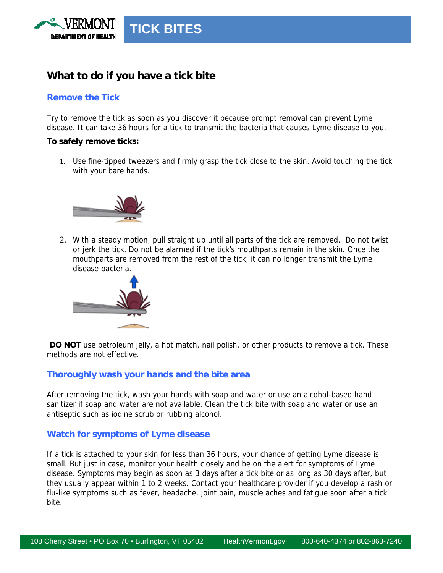

# **What to do if you have a tick bite**

## **Remove the Tick**

Try to remove the tick as soon as you discover it because prompt removal can prevent Lyme disease. It can take 36 hours for a tick to transmit the bacteria that causes Lyme disease to you.

#### **To safely remove ticks:**

1. Use fine-tipped tweezers and firmly grasp the tick close to the skin. Avoid touching the tick with your bare hands.



2. With a steady motion, pull straight up until all parts of the tick are removed. Do not twist or jerk the tick. Do not be alarmed if the tick's mouthparts remain in the skin. Once the mouthparts are removed from the rest of the tick, it can no longer transmit the Lyme disease bacteria.



**DO NOT** use petroleum jelly, a hot match, nail polish, or other products to remove a tick. These methods are not effective.

### **Thoroughly wash your hands and the bite area**

After removing the tick, wash your hands with soap and water or use an alcohol-based hand sanitizer if soap and water are not available. Clean the tick bite with soap and water or use an antiseptic such as iodine scrub or rubbing alcohol.

## **Watch for symptoms of Lyme disease**

If a tick is attached to your skin for less than 36 hours, your chance of getting Lyme disease is small. But just in case, monitor your health closely and be on the alert for symptoms of Lyme disease. Symptoms may begin as soon as 3 days after a tick bite or as long as 30 days after, but they usually appear within 1 to 2 weeks. Contact your healthcare provider if you develop a rash or flu-like symptoms such as fever, headache, joint pain, muscle aches and fatigue soon after a tick bite.